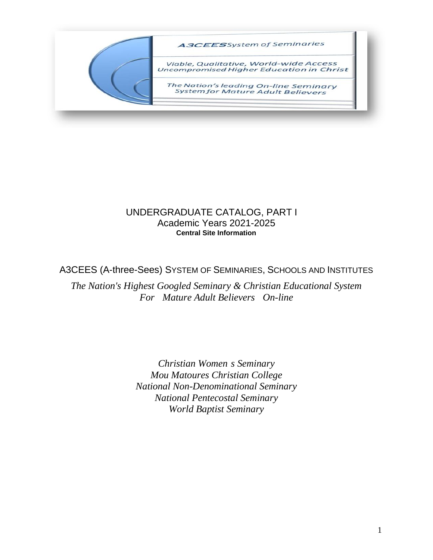

### UNDERGRADUATE CATALOG, PART I Academic Years 2021-2025 **Central Site Information**

A3CEES (A-three-Sees) SYSTEM OF SEMINARIES, SCHOOLS AND INSTITUTES

*The Nation's Highest Googled Seminary & Christian Educational System For Mature Adult Believers On-line*

> *Christian Women s Seminary Mou Matoures Christian College National Non-Denominational Seminary National Pentecostal Seminary World Baptist Seminary*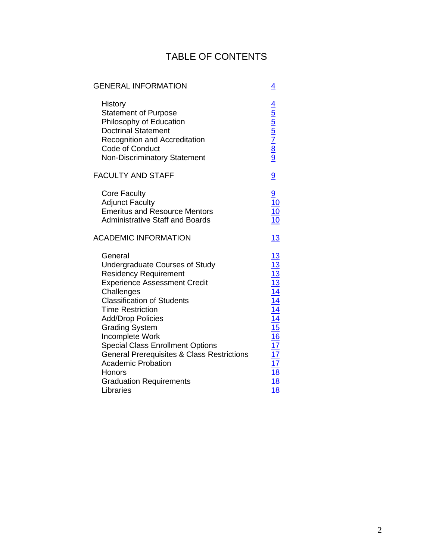# TABLE OF CONTENTS

## GENERAL INFORMATION [4](#page-3-0)

| History<br><b>Statement of Purpose</b><br>Philosophy of Education<br><b>Doctrinal Statement</b><br>Recognition and Accreditation<br>Code of Conduct<br><b>Non-Discriminatory Statement</b>                                                                                                                                                                                                                                                                              | $\frac{4}{5}$ 5 5 7 8 9          |
|-------------------------------------------------------------------------------------------------------------------------------------------------------------------------------------------------------------------------------------------------------------------------------------------------------------------------------------------------------------------------------------------------------------------------------------------------------------------------|----------------------------------|
| <b>FACULTY AND STAFF</b>                                                                                                                                                                                                                                                                                                                                                                                                                                                | $\overline{9}$                   |
| <b>Core Faculty</b><br><b>Adjunct Faculty</b><br><b>Emeritus and Resource Mentors</b><br><b>Administrative Staff and Boards</b>                                                                                                                                                                                                                                                                                                                                         |                                  |
| <b>ACADEMIC INFORMATION</b>                                                                                                                                                                                                                                                                                                                                                                                                                                             | 13                               |
| General<br><b>Undergraduate Courses of Study</b><br><b>Residency Requirement</b><br><b>Experience Assessment Credit</b><br>Challenges<br><b>Classification of Students</b><br><b>Time Restriction</b><br><b>Add/Drop Policies</b><br><b>Grading System</b><br>Incomplete Work<br><b>Special Class Enrollment Options</b><br><b>General Prerequisites &amp; Class Restrictions</b><br><b>Academic Probation</b><br>Honors<br><b>Graduation Requirements</b><br>Libraries | 13 13 14 14 14 15 16 17 17 18 18 |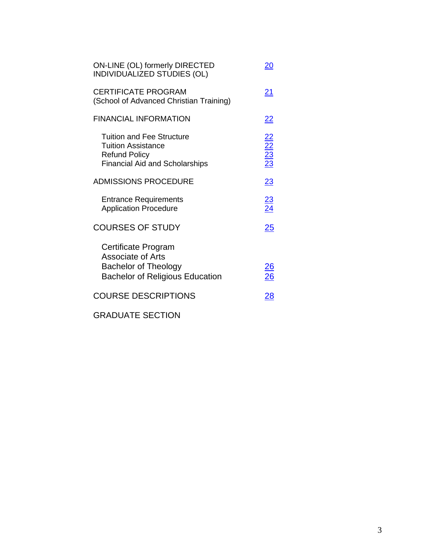| ON-LINE (OL) formerly DIRECTED<br>20<br>INDIVIDUALIZED STUDIES (OL)                                                      |                                    |  |
|--------------------------------------------------------------------------------------------------------------------------|------------------------------------|--|
| <b>CERTIFICATE PROGRAM</b><br>(School of Advanced Christian Training)                                                    | 21                                 |  |
| <b>FINANCIAL INFORMATION</b>                                                                                             | <u>22</u>                          |  |
| Tuition and Fee Structure<br><b>Tuition Assistance</b><br><b>Refund Policy</b><br><b>Financial Aid and Scholarships</b>  | $\frac{22}{22}$<br>$\frac{23}{23}$ |  |
| <b>ADMISSIONS PROCEDURE</b>                                                                                              | 23                                 |  |
| <b>Entrance Requirements</b><br><b>Application Procedure</b>                                                             | $\frac{23}{24}$                    |  |
| <b>COURSES OF STUDY</b>                                                                                                  | $\overline{25}$                    |  |
| Certificate Program<br><b>Associate of Arts</b><br><b>Bachelor of Theology</b><br><b>Bachelor of Religious Education</b> |                                    |  |
| <b>COURSE DESCRIPTIONS</b>                                                                                               | 28                                 |  |
|                                                                                                                          |                                    |  |

GRADUATE SECTION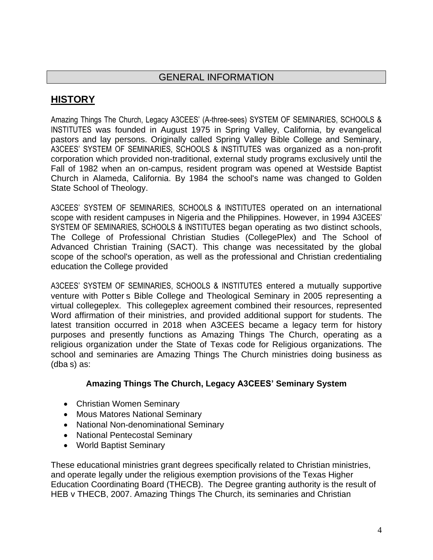# <span id="page-3-1"></span><span id="page-3-0"></span>**HISTORY**

Amazing Things The Church, Legacy A3CEES' (A-three-sees) SYSTEM OF SEMINARIES, SCHOOLS & INSTITUTES was founded in August 1975 in Spring Valley, California, by evangelical pastors and lay persons. Originally called Spring Valley Bible College and Seminary, A3CEES' SYSTEM OF SEMINARIES, SCHOOLS & INSTITUTES was organized as a non-profit corporation which provided non-traditional, external study programs exclusively until the Fall of 1982 when an on-campus, resident program was opened at Westside Baptist Church in Alameda, California. By 1984 the school's name was changed to Golden State School of Theology.

A3CEES' SYSTEM OF SEMINARIES, SCHOOLS & INSTITUTES operated on an international scope with resident campuses in Nigeria and the Philippines. However, in 1994 A3CEES' SYSTEM OF SEMINARIES, SCHOOLS & INSTITUTES began operating as two distinct schools, The College of Professional Christian Studies (CollegePlex) and The School of Advanced Christian Training (SACT). This change was necessitated by the global scope of the school's operation, as well as the professional and Christian credentialing education the College provided

A3CEES' SYSTEM OF SEMINARIES, SCHOOLS & INSTITUTES entered a mutually supportive venture with Potter s Bible College and Theological Seminary in 2005 representing a virtual collegeplex. This collegeplex agreement combined their resources, represented Word affirmation of their ministries, and provided additional support for students. The latest transition occurred in 2018 when A3CEES became a legacy term for history purposes and presently functions as Amazing Things The Church, operating as a religious organization under the State of Texas code for Religious organizations. The school and seminaries are Amazing Things The Church ministries doing business as (dba s) as:

### **Amazing Things The Church, Legacy A3CEES' Seminary System**

- Christian Women Seminary
- Mous Matores National Seminar[y](http://collegeplex.org/mmseminary.htm)
- National Non-denominational Seminar[y](http://christbasedcounseling.org/nnseminary.htm)
- National Pentecostal Seminar[y](http://collegeplex.org/npseminary.htm)
- World Baptist Seminar[y](http://collegeplex.org/wbseminary.htm)

These educational ministries grant degrees specifically related to Christian ministries, and operate legally under the religious exemption provisions of the Texas Higher Education Coordinating Board (THECB). The Degree granting authority is the result of HEB v THECB, 2007. Amazing Things The Church, its seminaries and Christian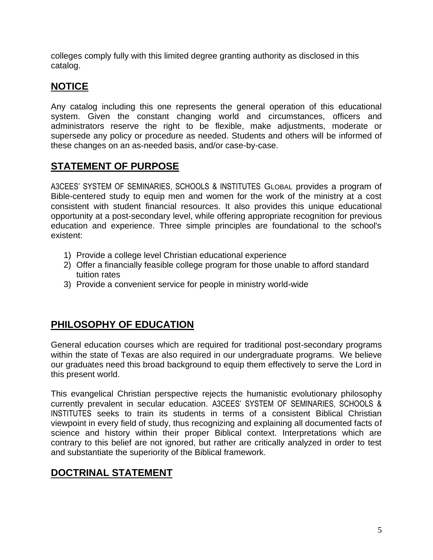colleges comply fully with this limited degree granting authority as disclosed in this catalog.

# **NOTICE**

Any catalog including this one represents the general operation of this educational system. Given the constant changing world and circumstances, officers and administrators reserve the right to be flexible, make adjustments, moderate or supersede any policy or procedure as needed. Students and others will be informed of these changes on an as-needed basis, and/or case-by-case.

# <span id="page-4-0"></span>**STATEMENT OF PURPOSE**

A3CEES' SYSTEM OF SEMINARIES, SCHOOLS & INSTITUTES GLOBAL provides a program of Bible-centered study to equip men and women for the work of the ministry at a cost consistent with student financial resources. It also provides this unique educational opportunity at a post-secondary level, while offering appropriate recognition for previous education and experience. Three simple principles are foundational to the school's existent:

- 1) Provide a college level Christian educational experience
- 2) Offer a financially feasible college program for those unable to afford standard tuition rates
- <span id="page-4-1"></span>3) Provide a convenient service for people in ministry world-wide

## **PHILOSOPHY OF EDUCATION**

General education courses which are required for traditional post-secondary programs within the state of Texas are also required in our undergraduate programs. We believe our graduates need this broad background to equip them effectively to serve the Lord in this present world.

This evangelical Christian perspective rejects the humanistic evolutionary philosophy currently prevalent in secular education. A3CEES' SYSTEM OF SEMINARIES, SCHOOLS & INSTITUTES seeks to train its students in terms of a consistent Biblical Christian viewpoint in every field of study, thus recognizing and explaining all documented facts of science and history within their proper Biblical context. Interpretations which are contrary to this belief are not ignored, but rather are critically analyzed in order to test and substantiate the superiority of the Biblical framework.

## <span id="page-4-2"></span>**DOCTRINAL STATEMENT**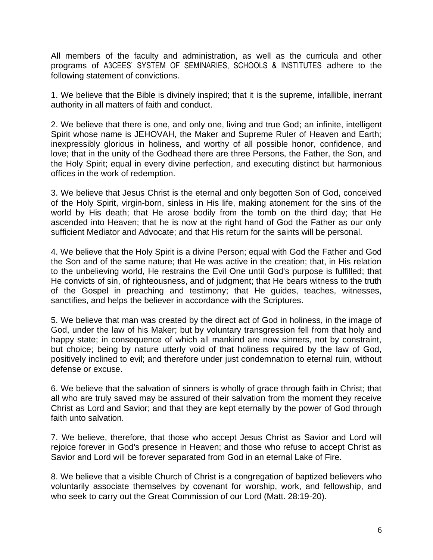All members of the faculty and administration, as well as the curricula and other programs of A3CEES' SYSTEM OF SEMINARIES, SCHOOLS & INSTITUTES adhere to the following statement of convictions.

1. We believe that the Bible is divinely inspired; that it is the supreme, infallible, inerrant authority in all matters of faith and conduct.

2. We believe that there is one, and only one, living and true God; an infinite, intelligent Spirit whose name is JEHOVAH, the Maker and Supreme Ruler of Heaven and Earth; inexpressibly glorious in holiness, and worthy of all possible honor, confidence, and love; that in the unity of the Godhead there are three Persons, the Father, the Son, and the Holy Spirit; equal in every divine perfection, and executing distinct but harmonious offices in the work of redemption.

3. We believe that Jesus Christ is the eternal and only begotten Son of God, conceived of the Holy Spirit, virgin-born, sinless in His life, making atonement for the sins of the world by His death; that He arose bodily from the tomb on the third day; that He ascended into Heaven; that he is now at the right hand of God the Father as our only sufficient Mediator and Advocate; and that His return for the saints will be personal.

4. We believe that the Holy Spirit is a divine Person; equal with God the Father and God the Son and of the same nature; that He was active in the creation; that, in His relation to the unbelieving world, He restrains the Evil One until God's purpose is fulfilled; that He convicts of sin, of righteousness, and of judgment; that He bears witness to the truth of the Gospel in preaching and testimony; that He guides, teaches, witnesses, sanctifies, and helps the believer in accordance with the Scriptures.

5. We believe that man was created by the direct act of God in holiness, in the image of God, under the law of his Maker; but by voluntary transgression fell from that holy and happy state; in consequence of which all mankind are now sinners, not by constraint, but choice; being by nature utterly void of that holiness required by the law of God, positively inclined to evil; and therefore under just condemnation to eternal ruin, without defense or excuse.

6. We believe that the salvation of sinners is wholly of grace through faith in Christ; that all who are truly saved may be assured of their salvation from the moment they receive Christ as Lord and Savior; and that they are kept eternally by the power of God through faith unto salvation.

7. We believe, therefore, that those who accept Jesus Christ as Savior and Lord will rejoice forever in God's presence in Heaven; and those who refuse to accept Christ as Savior and Lord will be forever separated from God in an eternal Lake of Fire.

8. We believe that a visible Church of Christ is a congregation of baptized believers who voluntarily associate themselves by covenant for worship, work, and fellowship, and who seek to carry out the Great Commission of our Lord (Matt. 28:19-20).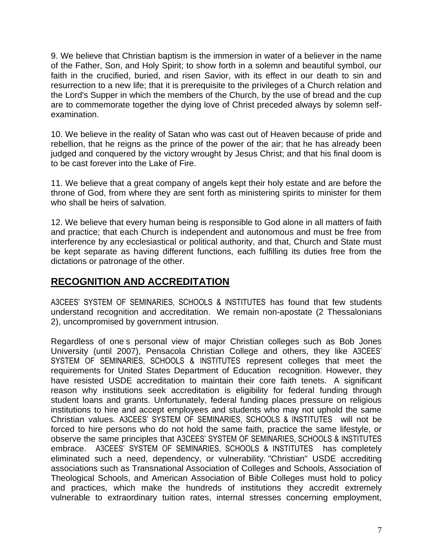9. We believe that Christian baptism is the immersion in water of a believer in the name of the Father, Son, and Holy Spirit; to show forth in a solemn and beautiful symbol, our faith in the crucified, buried, and risen Savior, with its effect in our death to sin and resurrection to a new life; that it is prerequisite to the privileges of a Church relation and the Lord's Supper in which the members of the Church, by the use of bread and the cup are to commemorate together the dying love of Christ preceded always by solemn selfexamination.

10. We believe in the reality of Satan who was cast out of Heaven because of pride and rebellion, that he reigns as the prince of the power of the air; that he has already been judged and conquered by the victory wrought by Jesus Christ; and that his final doom is to be cast forever into the Lake of Fire.

11. We believe that a great company of angels kept their holy estate and are before the throne of God, from where they are sent forth as ministering spirits to minister for them who shall be heirs of salvation.

12. We believe that every human being is responsible to God alone in all matters of faith and practice; that each Church is independent and autonomous and must be free from interference by any ecclesiastical or political authority, and that, Church and State must be kept separate as having different functions, each fulfilling its duties free from the dictations or patronage of the other.

# <span id="page-6-0"></span>**RECOGNITION AND ACCREDITATION**

A3CEES' SYSTEM OF SEMINARIES, SCHOOLS & INSTITUTES has found that few students understand recognition and accreditation. We remain non-apostate (2 Thessalonians 2), uncompromised by government intrusion.

Regardless of one s personal view of major Christian colleges such as Bob Jones University (until 2007), Pensacola Christian College and others, they like A3CEES' SYSTEM OF SEMINARIES, SCHOOLS & INSTITUTES represent colleges that meet the requirements for United States Department of Education recognition. However, they have resisted USDE accreditation to maintain their core faith tenets. A significant reason why institutions seek accreditation is eligibility for federal funding through student loans and grants. Unfortunately, federal funding places pressure on religious institutions to hire and accept employees and students who may not uphold the same Christian values. A3CEES' SYSTEM OF SEMINARIES, SCHOOLS & INSTITUTES will not be forced to hire persons who do not hold the same faith, practice the same lifestyle, or observe the same principles that A3CEES' SYSTEM OF SEMINARIES, SCHOOLS & INSTITUTES embrace. A3CEES' SYSTEM OF SEMINARIES, SCHOOLS & INSTITUTES has completely eliminated such a need, dependency, or vulnerability. "Christian" USDE accrediting associations such as Transnational Association of Colleges and Schools, Association of Theological Schools, and American Association of Bible Colleges must hold to policy and practices, which make the hundreds of institutions they accredit extremely vulnerable to extraordinary tuition rates, internal stresses concerning employment,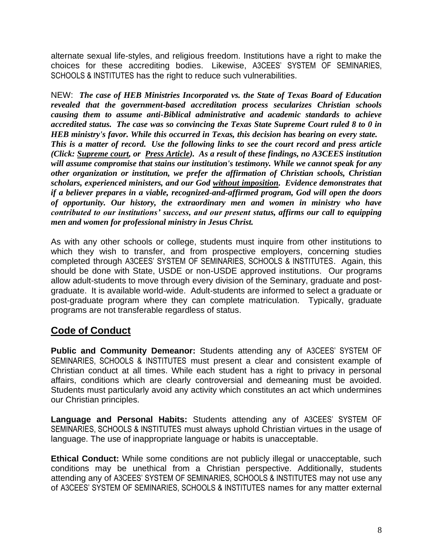alternate sexual life-styles, and religious freedom. Institutions have a right to make the choices for these accrediting bodies. Likewise, A3CEES' SYSTEM OF SEMINARIES, SCHOOLS & INSTITUTES has the right to reduce such vulnerabilities.

NEW: *The case of HEB Ministries Incorporated vs. the State of Texas Board of Education revealed that the government-based accreditation process secularizes Christian schools causing them to assume anti-Biblical administrative and academic standards to achieve accredited status. The case was so convincing the Texas State Supreme Court ruled 8 to 0 in HEB ministry's favor. While this occurred in Texas, this decision has bearing on every state. This is a matter of record. Use the following links to see the court record and press article (Click: [Supreme court,](http://collegeplex.org/HEBsupremecourt.doc) or [Press Article\)](http://collegeplex.org/HEBbaptistpress.doc). As a result of these findings, no A3CEES institution will assume compromise that stains our institution's testimony. While we cannot speak for any other organization or institution, we prefer the affirmation of Christian schools, Christian scholars, experienced ministers, and our God without imposition. Evidence demonstrates that if a believer prepares in a viable, recognized-and-affirmed program, God will open the doors of opportunity. Our history, the extraordinary men and women in ministry who have contributed to our institutions' success, and our present status, affirms our call to equipping men and women for professional ministry in Jesus Christ.* 

As with any other schools or college, students must inquire from other institutions to which they wish to transfer, and from prospective employers, concerning studies completed through A3CEES' SYSTEM OF SEMINARIES, SCHOOLS & INSTITUTES. Again, this should be done with State, USDE or non-USDE approved institutions. Our programs allow adult-students to move through every division of the Seminary, graduate and postgraduate. It is available world-wide. Adult-students are informed to select a graduate or post-graduate program where they can complete matriculation. Typically, graduate programs are not transferable regardless of status.

# <span id="page-7-0"></span>**Code of Conduct**

**Public and Community Demeanor:** Students attending any of A3CEES' SYSTEM OF SEMINARIES, SCHOOLS & INSTITUTES must present a clear and consistent example of Christian conduct at all times. While each student has a right to privacy in personal affairs, conditions which are clearly controversial and demeaning must be avoided. Students must particularly avoid any activity which constitutes an act which undermines our Christian principles.

**Language and Personal Habits:** Students attending any of A3CEES' SYSTEM OF SEMINARIES, SCHOOLS & INSTITUTES must always uphold Christian virtues in the usage of language. The use of inappropriate language or habits is unacceptable.

**Ethical Conduct:** While some conditions are not publicly illegal or unacceptable, such conditions may be unethical from a Christian perspective. Additionally, students attending any of A3CEES' SYSTEM OF SEMINARIES, SCHOOLS & INSTITUTES may not use any of A3CEES' SYSTEM OF SEMINARIES, SCHOOLS & INSTITUTES names for any matter external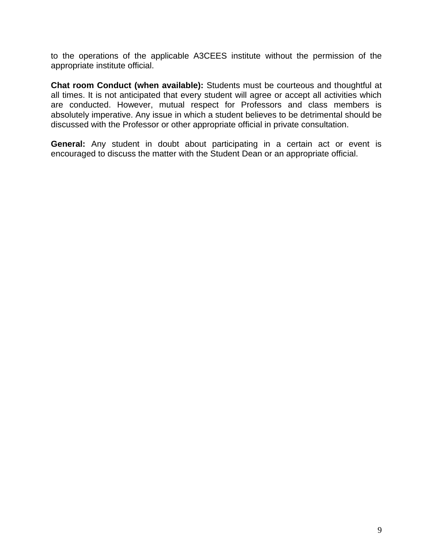to the operations of the applicable A3CEES institute without the permission of the appropriate institute official.

**Chat room Conduct (when available):** Students must be courteous and thoughtful at all times. It is not anticipated that every student will agree or accept all activities which are conducted. However, mutual respect for Professors and class members is absolutely imperative. Any issue in which a student believes to be detrimental should be discussed with the Professor or other appropriate official in private consultation.

**General:** Any student in doubt about participating in a certain act or event is encouraged to discuss the matter with the Student Dean or an appropriate official.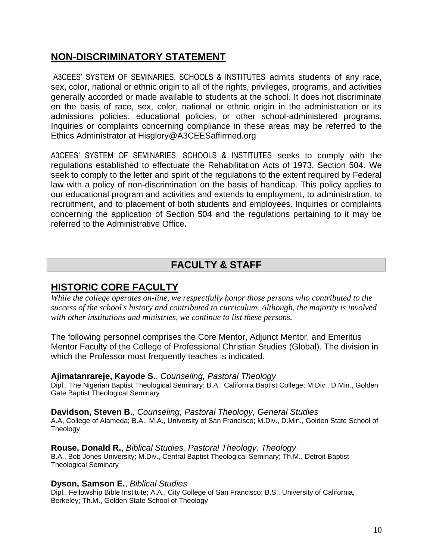## <span id="page-9-0"></span>**NON-DISCRIMINATORY STATEMENT**

A3CEES' SYSTEM OF SEMINARIES, SCHOOLS & INSTITUTES admits students of any race, sex, color, national or ethnic origin to all of the rights, privileges, programs, and activities generally accorded or made available to students at the school. It does not discriminate on the basis of race, sex, color, national or ethnic origin in the administration or its admissions policies, educational policies, or other school-administered programs. Inquiries or complaints concerning compliance in these areas may be referred to the Ethics Administrator at Hisglory@A3CEESaffirmed.org

A3CEES' SYSTEM OF SEMINARIES, SCHOOLS & INSTITUTES seeks to comply with the regulations established to effectuate the Rehabilitation Acts of 1973, Section 504. We seek to comply to the letter and spirit of the regulations to the extent required by Federal law with a policy of non-discrimination on the basis of handicap. This policy applies to our educational program and activities and extends to employment, to administration, to recruitment, and to placement of both students and employees. Inquiries or complaints concerning the application of Section 504 and the regulations pertaining to it may be referred to the Administrative Office.

# <span id="page-9-1"></span>**FACULTY & STAFF**

## <span id="page-9-2"></span>**HISTORIC CORE FACULTY**

*While the college operates on-line, we respectfully honor those persons who contributed to the success of the school's history and contributed to curriculum. Although, the majority is involved with other institutions and ministries, we continue to list these persons.*

The following personnel comprises the Core Mentor, Adjunct Mentor, and Emeritus Mentor Faculty of the College of Professional Christian Studies (Global). The division in which the Professor most frequently teaches is indicated.

### **Ajimatanrareje, Kayode S.**, *Counseling, Pastoral Theology*

Dipl., The Nigerian Baptist Theological Seminary; B.A., California Baptist College; M.Div., D.Min., Golden Gate Baptist Theological Seminary

**Davidson, Steven B.**, *Counseling, Pastoral Theology, General Studies* A.A, College of Alameda; B.A., M.A., University of San Francisco; M.Div., D.Min., Golden State School of Theology

**Rouse, Donald R.**, *Biblical Studies, Pastoral Theology, Theology* B.A., Bob Jones University; M.Div., Central Baptist Theological Seminary; Th.M., Detroit Baptist Theological Seminary

### **Dyson, Samson E.**, *Biblical Studies*

Dipl., Fellowship Bible Institute; A.A., City College of San Francisco; B.S., University of California, Berkeley; Th.M., Golden State School of Theology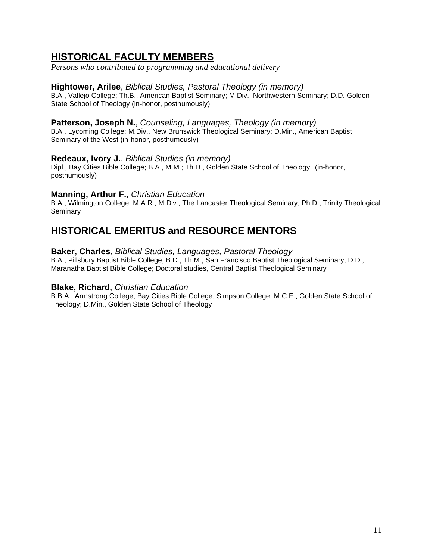# <span id="page-10-0"></span>**HISTORICAL FACULTY MEMBERS**

*Persons who contributed to programming and educational delivery*

#### **Hightower, Arilee**, *Biblical Studies, Pastoral Theology (in memory)*

B.A., Vallejo College; Th.B., American Baptist Seminary; M.Div., Northwestern Seminary; D.D. Golden State School of Theology (in-honor, posthumously)

#### Patterson, Joseph N., Counseling, Languages, Theology (in memory)

B.A., Lycoming College; M.Div., New Brunswick Theological Seminary; D.Min., American Baptist Seminary of the West (in-honor, posthumously)

#### **Redeaux, Ivory J.**, *Biblical Studies (in memory)*

Dipl., Bay Cities Bible College; B.A., M.M.; Th.D., Golden State School of Theology (in-honor, posthumously)

#### **Manning, Arthur F.**, *Christian Education*

B.A., Wilmington College; M.A.R., M.Div., The Lancaster Theological Seminary; Ph.D., Trinity Theological **Seminary** 

## **HISTORICAL EMERITUS and RESOURCE MENTORS**

#### **Baker, Charles**, *Biblical Studies, Languages, Pastoral Theology*

B.A., Pillsbury Baptist Bible College; B.D., Th.M., San Francisco Baptist Theological Seminary; D.D., Maranatha Baptist Bible College; Doctoral studies, Central Baptist Theological Seminary

#### **Blake, Richard**, *Christian Education*

B.B.A., Armstrong College; Bay Cities Bible College; Simpson College; M.C.E., Golden State School of Theology; D.Min., Golden State School of Theology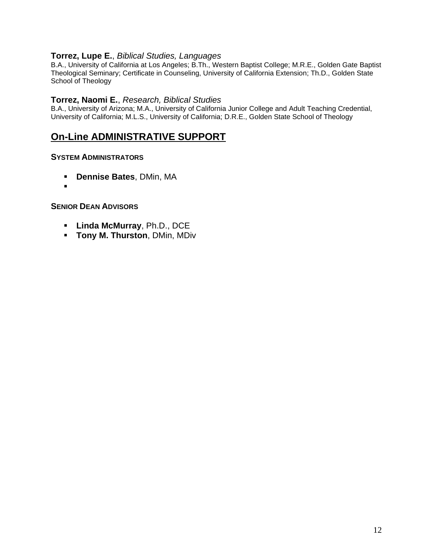#### **Torrez, Lupe E.**, *Biblical Studies, Languages*

B.A., University of California at Los Angeles; B.Th., Western Baptist College; M.R.E., Golden Gate Baptist Theological Seminary; Certificate in Counseling, University of California Extension; Th.D., Golden State School of Theology

#### **Torrez, Naomi E.**, *Research, Biblical Studies*

B.A., University of Arizona; M.A., University of California Junior College and Adult Teaching Credential, University of California; M.L.S., University of California; D.R.E., Golden State School of Theology

# **On-Line ADMINISTRATIVE SUPPORT**

#### **SYSTEM ADMINISTRATORS**

- **Dennise Bates**, DMin, MA
- ▪

#### **SENIOR DEAN ADVISORS**

- **Linda McMurray**, Ph.D., DCE
- **Tony M. Thurston**, DMin, MDiv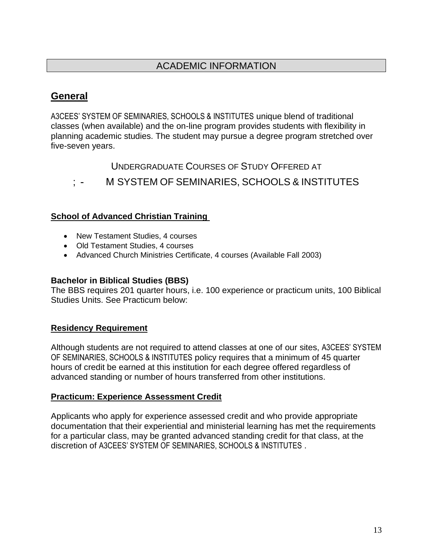# <span id="page-12-1"></span>**General**

A3CEES' SYSTEM OF SEMINARIES, SCHOOLS & INSTITUTES unique blend of traditional classes (when available) and the on-line program provides students with flexibility in planning academic studies. The student may pursue a degree program stretched over five-seven years.

<span id="page-12-2"></span><span id="page-12-0"></span>UNDERGRADUATE COURSES OF STUDY OFFERED AT

M SYSTEM OF SEMINARIES, SCHOOLS & INSTITUTES

### **School of Advanced Christian Training**

- New Testament Studies, 4 courses
- Old Testament Studies, 4 courses
- Advanced Church Ministries Certificate, 4 courses (Available Fall 2003)

### **Bachelor in Biblical Studies (BBS)**

The BBS requires 201 quarter hours, i.e. 100 experience or practicum units, 100 Biblical Studies Units. See Practicum below:

### <span id="page-12-3"></span>**Residency Requirement**

Although students are not required to attend classes at one of our sites, A3CEES' SYSTEM OF SEMINARIES, SCHOOLS & INSTITUTES policy requires that a minimum of 45 quarter hours of credit be earned at this institution for each degree offered regardless of advanced standing or number of hours transferred from other institutions.

### **Practicum: Experience Assessment Credit**

Applicants who apply for experience assessed credit and who provide appropriate documentation that their experiential and ministerial learning has met the requirements for a particular class, may be granted advanced standing credit for that class, at the discretion of A3CEES' SYSTEM OF SEMINARIES, SCHOOLS & INSTITUTES .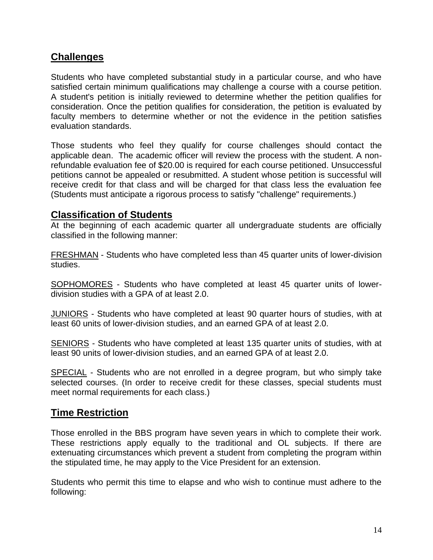## <span id="page-13-0"></span>**Challenges**

Students who have completed substantial study in a particular course, and who have satisfied certain minimum qualifications may challenge a course with a course petition. A student's petition is initially reviewed to determine whether the petition qualifies for consideration. Once the petition qualifies for consideration, the petition is evaluated by faculty members to determine whether or not the evidence in the petition satisfies evaluation standards.

Those students who feel they qualify for course challenges should contact the applicable dean. The academic officer will review the process with the student. A nonrefundable evaluation fee of \$20.00 is required for each course petitioned. Unsuccessful petitions cannot be appealed or resubmitted. A student whose petition is successful will receive credit for that class and will be charged for that class less the evaluation fee (Students must anticipate a rigorous process to satisfy "challenge" requirements.)

### <span id="page-13-1"></span>**Classification of Students**

At the beginning of each academic quarter all undergraduate students are officially classified in the following manner:

FRESHMAN - Students who have completed less than 45 quarter units of lower-division studies.

SOPHOMORES - Students who have completed at least 45 quarter units of lowerdivision studies with a GPA of at least 2.0.

JUNIORS - Students who have completed at least 90 quarter hours of studies, with at least 60 units of lower-division studies, and an earned GPA of at least 2.0.

SENIORS - Students who have completed at least 135 quarter units of studies, with at least 90 units of lower-division studies, and an earned GPA of at least 2.0.

SPECIAL - Students who are not enrolled in a degree program, but who simply take selected courses. (In order to receive credit for these classes, special students must meet normal requirements for each class.)

### <span id="page-13-2"></span>**Time Restriction**

Those enrolled in the BBS program have seven years in which to complete their work. These restrictions apply equally to the traditional and OL subjects. If there are extenuating circumstances which prevent a student from completing the program within the stipulated time, he may apply to the Vice President for an extension.

Students who permit this time to elapse and who wish to continue must adhere to the following: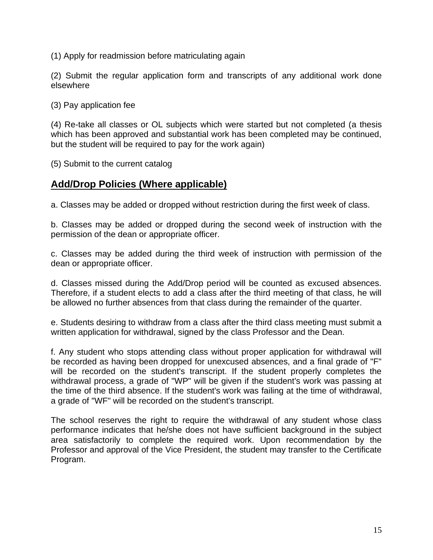(1) Apply for readmission before matriculating again

(2) Submit the regular application form and transcripts of any additional work done elsewhere

(3) Pay application fee

(4) Re-take all classes or OL subjects which were started but not completed (a thesis which has been approved and substantial work has been completed may be continued, but the student will be required to pay for the work again)

(5) Submit to the current catalog

## <span id="page-14-0"></span>**Add/Drop Policies (Where applicable)**

a. Classes may be added or dropped without restriction during the first week of class.

b. Classes may be added or dropped during the second week of instruction with the permission of the dean or appropriate officer.

c. Classes may be added during the third week of instruction with permission of the dean or appropriate officer.

d. Classes missed during the Add/Drop period will be counted as excused absences. Therefore, if a student elects to add a class after the third meeting of that class, he will be allowed no further absences from that class during the remainder of the quarter.

e. Students desiring to withdraw from a class after the third class meeting must submit a written application for withdrawal, signed by the class Professor and the Dean.

f. Any student who stops attending class without proper application for withdrawal will be recorded as having been dropped for unexcused absences, and a final grade of "F" will be recorded on the student's transcript. If the student properly completes the withdrawal process, a grade of "WP" will be given if the student's work was passing at the time of the third absence. If the student's work was failing at the time of withdrawal, a grade of "WF" will be recorded on the student's transcript.

The school reserves the right to require the withdrawal of any student whose class performance indicates that he/she does not have sufficient background in the subject area satisfactorily to complete the required work. Upon recommendation by the Professor and approval of the Vice President, the student may transfer to the Certificate Program.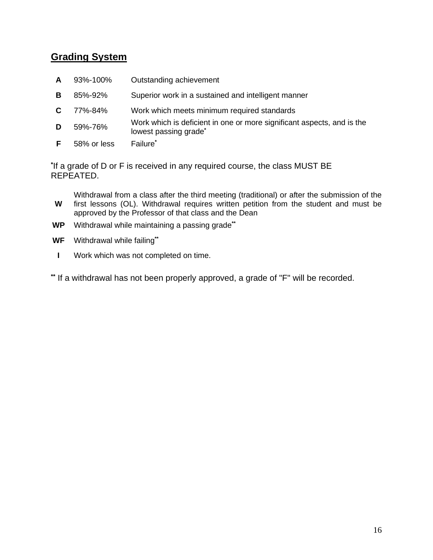## <span id="page-15-0"></span>**Grading System**

- **A** 93%-100% Outstanding achievement
- **B** 85%-92% Superior work in a sustained and intelligent manner
- **C** 77%-84% Work which meets minimum required standards
- **D** 59%-76% Work which is deficient in one or more significant aspects, and is the lowest passing grade**\***
- **F** 58% or less Failure**\***

**\*** If a grade of D or F is received in any required course, the class MUST BE REPEATED.

**W** Withdrawal from a class after the third meeting (traditional) or after the submission of the first lessons (OL). Withdrawal requires written petition from the student and must be approved by the Professor of that class and the Dean

- **WP** Withdrawal while maintaining a passing grade**\*\***
- **WF** Withdrawal while failing**\*\***
- **I** Work which was not completed on time.

**\*\*** If a withdrawal has not been properly approved, a grade of "F" will be recorded.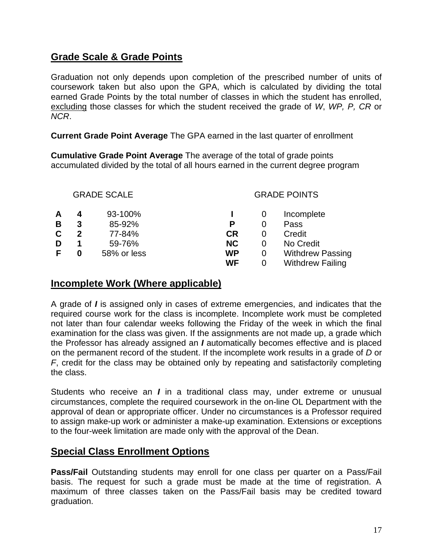## **Grade Scale & Grade Points**

Graduation not only depends upon completion of the prescribed number of units of coursework taken but also upon the GPA, which is calculated by dividing the total earned Grade Points by the total number of classes in which the student has enrolled, excluding those classes for which the student received the grade of *W*, *WP, P, CR* or *NCR*.

**Current Grade Point Average** The GPA earned in the last quarter of enrollment

**Cumulative Grade Point Average** The average of the total of grade points accumulated divided by the total of all hours earned in the current degree program

|   |   | <b>GRADE SCALE</b> | <b>GRADE POINTS</b> |          |                         |
|---|---|--------------------|---------------------|----------|-------------------------|
| A |   | 93-100%            |                     |          | Incomplete              |
| B | 3 | 85-92%             | Р                   | $\Omega$ | Pass                    |
| C | 2 | 77-84%             | <b>CR</b>           | 0        | Credit                  |
| D |   | 59-76%             | <b>NC</b>           | 0        | No Credit               |
| F | 0 | 58% or less        | <b>WP</b>           | 0        | <b>Withdrew Passing</b> |
|   |   |                    | WF                  | O        | <b>Withdrew Failing</b> |

## <span id="page-16-0"></span>**Incomplete Work (Where applicable)**

A grade of *I* is assigned only in cases of extreme emergencies, and indicates that the required course work for the class is incomplete. Incomplete work must be completed not later than four calendar weeks following the Friday of the week in which the final examination for the class was given. If the assignments are not made up, a grade which the Professor has already assigned an *I* automatically becomes effective and is placed on the permanent record of the student. If the incomplete work results in a grade of *D* or *F*, credit for the class may be obtained only by repeating and satisfactorily completing the class.

Students who receive an *I* in a traditional class may, under extreme or unusual circumstances, complete the required coursework in the on-line OL Department with the approval of dean or appropriate officer. Under no circumstances is a Professor required to assign make-up work or administer a make-up examination. Extensions or exceptions to the four-week limitation are made only with the approval of the Dean.

## **Special Class Enrollment Options**

**Pass/Fail** Outstanding students may enroll for one class per quarter on a Pass/Fail basis. The request for such a grade must be made at the time of registration. A maximum of three classes taken on the Pass/Fail basis may be credited toward graduation.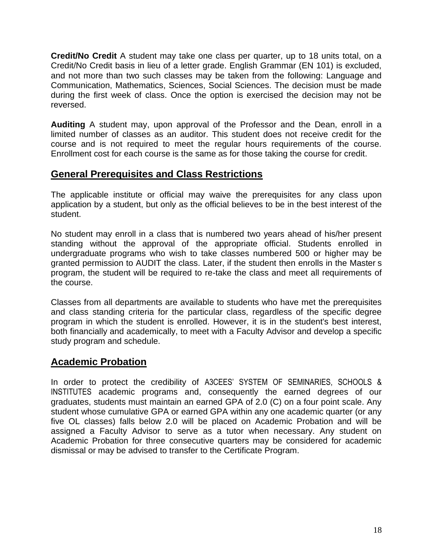**Credit/No Credit** A student may take one class per quarter, up to 18 units total, on a Credit/No Credit basis in lieu of a letter grade. English Grammar (EN 101) is excluded, and not more than two such classes may be taken from the following: Language and Communication, Mathematics, Sciences, Social Sciences. The decision must be made during the first week of class. Once the option is exercised the decision may not be reversed.

**Auditing** A student may, upon approval of the Professor and the Dean, enroll in a limited number of classes as an auditor. This student does not receive credit for the course and is not required to meet the regular hours requirements of the course. Enrollment cost for each course is the same as for those taking the course for credit.

## <span id="page-17-0"></span>**General Prerequisites and Class Restrictions**

The applicable institute or official may waive the prerequisites for any class upon application by a student, but only as the official believes to be in the best interest of the student.

No student may enroll in a class that is numbered two years ahead of his/her present standing without the approval of the appropriate official. Students enrolled in undergraduate programs who wish to take classes numbered 500 or higher may be granted permission to AUDIT the class. Later, if the student then enrolls in the Master s program, the student will be required to re-take the class and meet all requirements of the course.

Classes from all departments are available to students who have met the prerequisites and class standing criteria for the particular class, regardless of the specific degree program in which the student is enrolled. However, it is in the student's best interest, both financially and academically, to meet with a Faculty Advisor and develop a specific study program and schedule.

## <span id="page-17-1"></span>**Academic Probation**

In order to protect the credibility of A3CEES' SYSTEM OF SEMINARIES, SCHOOLS & INSTITUTES academic programs and, consequently the earned degrees of our graduates, students must maintain an earned GPA of 2.0 (C) on a four point scale. Any student whose cumulative GPA or earned GPA within any one academic quarter (or any five OL classes) falls below 2.0 will be placed on Academic Probation and will be assigned a Faculty Advisor to serve as a tutor when necessary. Any student on Academic Probation for three consecutive quarters may be considered for academic dismissal or may be advised to transfer to the Certificate Program.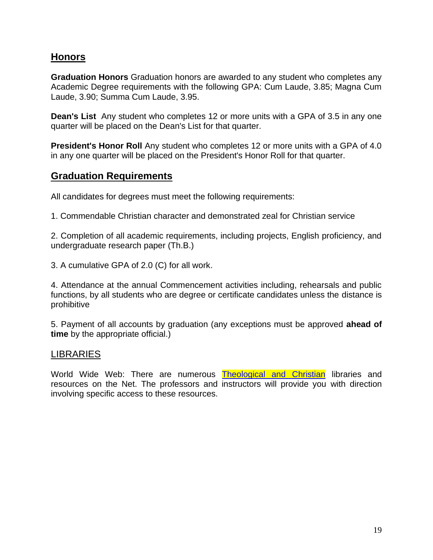## <span id="page-18-0"></span>**Honors**

**Graduation Honors** Graduation honors are awarded to any student who completes any Academic Degree requirements with the following GPA: Cum Laude, 3.85; Magna Cum Laude, 3.90; Summa Cum Laude, 3.95.

**Dean's List** Any student who completes 12 or more units with a GPA of 3.5 in any one quarter will be placed on the Dean's List for that quarter.

**President's Honor Roll** Any student who completes 12 or more units with a GPA of 4.0 in any one quarter will be placed on the President's Honor Roll for that quarter.

## <span id="page-18-1"></span>**Graduation Requirements**

All candidates for degrees must meet the following requirements:

1. Commendable Christian character and demonstrated zeal for Christian service

2. Completion of all academic requirements, including projects, English proficiency, and undergraduate research paper (Th.B.)

3. A cumulative GPA of 2.0 (C) for all work.

4. Attendance at the annual Commencement activities including, rehearsals and public functions, by all students who are degree or certificate candidates unless the distance is prohibitive

5. Payment of all accounts by graduation (any exceptions must be approved **ahead of time** by the appropriate official.)

### <span id="page-18-2"></span>LIBRARIES

World Wide Web: There are numerous **Theological and Christian** libraries and resources on the Net. The professors and instructors will provide you with direction involving specific access to these resources.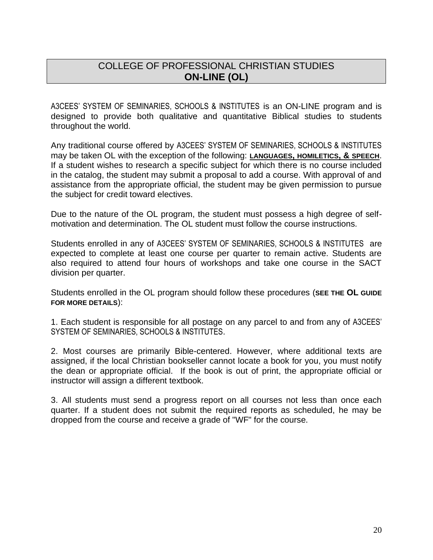# <span id="page-19-0"></span>COLLEGE OF PROFESSIONAL CHRISTIAN STUDIES **ON-LINE (OL)**

A3CEES' SYSTEM OF SEMINARIES, SCHOOLS & INSTITUTES is an ON-LINE program and is designed to provide both qualitative and quantitative Biblical studies to students throughout the world.

Any traditional course offered by A3CEES' SYSTEM OF SEMINARIES, SCHOOLS & INSTITUTES may be taken OL with the exception of the following: **LANGUAGES, HOMILETICS, & SPEECH**. If a student wishes to research a specific subject for which there is no course included in the catalog, the student may submit a proposal to add a course. With approval of and assistance from the appropriate official, the student may be given permission to pursue the subject for credit toward electives.

Due to the nature of the OL program, the student must possess a high degree of selfmotivation and determination. The OL student must follow the course instructions.

Students enrolled in any of A3CEES' SYSTEM OF SEMINARIES, SCHOOLS & INSTITUTES are expected to complete at least one course per quarter to remain active. Students are also required to attend four hours of workshops and take one course in the SACT division per quarter.

Students enrolled in the OL program should follow these procedures (**SEE THE OL GUIDE FOR MORE DETAILS**):

1. Each student is responsible for all postage on any parcel to and from any of A3CEES' SYSTEM OF SEMINARIES, SCHOOLS & INSTITUTES.

2. Most courses are primarily Bible-centered. However, where additional texts are assigned, if the local Christian bookseller cannot locate a book for you, you must notify the dean or appropriate official. If the book is out of print, the appropriate official or instructor will assign a different textbook.

3. All students must send a progress report on all courses not less than once each quarter. If a student does not submit the required reports as scheduled, he may be dropped from the course and receive a grade of "WF" for the course.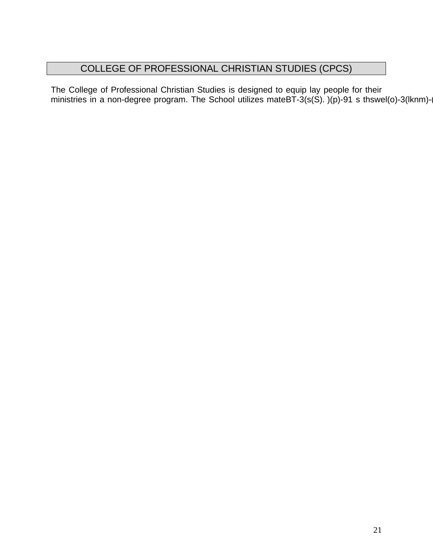# <span id="page-20-0"></span>COLLEGE OF PROFESSIONAL CHRISTIAN STUDIES (CPCS)

The College of Professional Christian Studies is designed to equip lay people for their ministries in a non-degree program. The School utilizes mateBT-3(s(S). )(p)-91 s thswel(o)-3(lknm)-(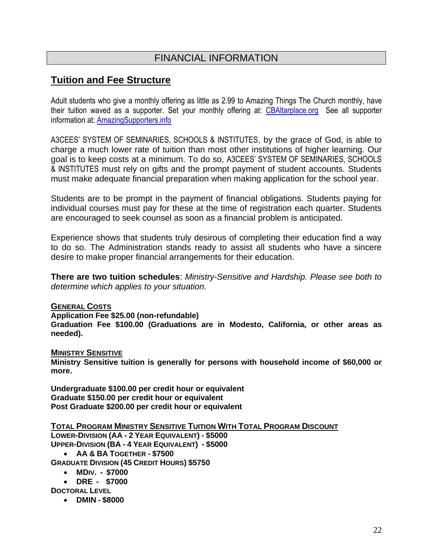# <span id="page-21-0"></span>FINANCIAL INFORMATION

## <span id="page-21-1"></span>**Tuition and Fee Structure**

Adult students who give a monthly offering as little as 2.99 to Amazing Things The Church monthly, have their tuition waved as a supporter. Set your monthly offering at: [CBAltarplace.org](http://cbaltarplace.org/) See all supporter information at: [AmazingSupporters.info](http://amazingsupporters.info/)

A3CEES' SYSTEM OF SEMINARIES, SCHOOLS & INSTITUTES, by the grace of God, is able to charge a much lower rate of tuition than most other institutions of higher learning. Our goal is to keep costs at a minimum. To do so, A3CEES' SYSTEM OF SEMINARIES, SCHOOLS & INSTITUTES must rely on gifts and the prompt payment of student accounts. Students must make adequate financial preparation when making application for the school year.

Students are to be prompt in the payment of financial obligations. Students paying for individual courses must pay for these at the time of registration each quarter. Students are encouraged to seek counsel as soon as a financial problem is anticipated.

Experience shows that students truly desirous of completing their education find a way to do so. The Administration stands ready to assist all students who have a sincere desire to make proper financial arrangements for their education.

**There are two tuition schedules**: *Ministry-Sensitive and Hardship. Please see both to determine which applies to your situation.*

#### **GENERAL COSTS**

#### **Application Fee \$25.00 (non-refundable)**

**Graduation Fee \$100.00 (Graduations are in Modesto, California, or other areas as needed).**

#### **MINISTRY SENSITIVE**

**Ministry Sensitive tuition is generally for persons with household income of \$60,000 or more.**

**Undergraduate \$100.00 per credit hour or equivalent Graduate \$150.00 per credit hour or equivalent Post Graduate \$200.00 per credit hour or equivalent**

#### **TOTAL PROGRAM MINISTRY SENSITIVE TUITION WITH TOTAL PROGRAM DISCOUNT**

**LOWER-DIVISION (AA - 2 YEAR EQUIVALENT) - \$5000 UPPER-DIVISION (BA - 4 YEAR EQUIVALENT) - \$5000**

- **AA & BA TOGETHER - \$7500**
- **GRADUATE DIVISION (45 CREDIT HOURS) \$5750**
	- **MDIV. - \$7000**
	- **DRE - \$7000**

**DOCTORAL LEVEL** 

• **DMIN - \$8000**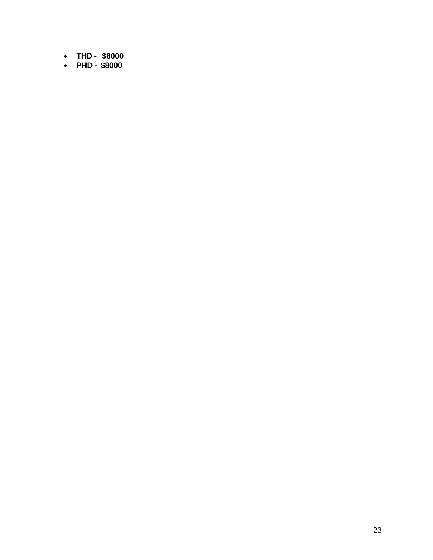- **THD - \$8000**
- **PHD - \$8000**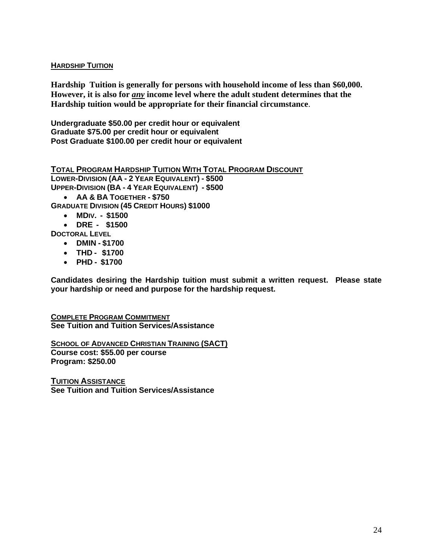#### **HARDSHIP TUITION**

**Hardship Tuition is generally for persons with household income of less than \$60,000. However, it is also for** *any* **income level where the adult student determines that the Hardship tuition would be appropriate for their financial circumstance**.

**Undergraduate \$50.00 per credit hour or equivalent Graduate \$75.00 per credit hour or equivalent Post Graduate \$100.00 per credit hour or equivalent**

**TOTAL PROGRAM HARDSHIP TUITION WITH TOTAL PROGRAM DISCOUNT**

**LOWER-DIVISION (AA - 2 YEAR EQUIVALENT) - \$500 UPPER-DIVISION (BA - 4 YEAR EQUIVALENT) - \$500**

• **AA & BA TOGETHER - \$750**

**GRADUATE DIVISION (45 CREDIT HOURS) \$1000**

- **MDIV. - \$1500**
- **DRE - \$1500**

**DOCTORAL LEVEL** 

- **DMIN - \$1700**
- **THD - \$1700**
- **PHD - \$1700**

**Candidates desiring the Hardship tuition must submit a written request. Please state your hardship or need and purpose for the hardship request.**

**COMPLETE PROGRAM COMMITMENT See Tuition and Tuition Services/Assistance**

**SCHOOL OF ADVANCED CHRISTIAN TRAINING (SACT) Course cost: \$55.00 per course Program: \$250.00** 

<span id="page-23-0"></span>**TUITION ASSISTANCE See Tuition and Tuition Services/Assistance**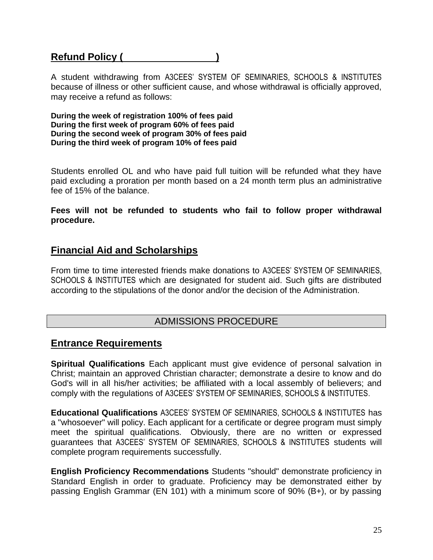# <span id="page-24-0"></span>**Refund Policy (**

A student withdrawing from A3CEES' SYSTEM OF SEMINARIES, SCHOOLS & INSTITUTES because of illness or other sufficient cause, and whose withdrawal is officially approved, may receive a refund as follows:

**During the week of registration 100% of fees paid During the first week of program 60% of fees paid During the second week of program 30% of fees paid During the third week of program 10% of fees paid**

Students enrolled OL and who have paid full tuition will be refunded what they have paid excluding a proration per month based on a 24 month term plus an administrative fee of 15% of the balance.

**Fees will not be refunded to students who fail to follow proper withdrawal procedure.**

### <span id="page-24-1"></span>**Financial Aid and Scholarships**

From time to time interested friends make donations to A3CEES' SYSTEM OF SEMINARIES, SCHOOLS & INSTITUTES which are designated for student aid. Such gifts are distributed according to the stipulations of the donor and/or the decision of the Administration.

### <span id="page-24-3"></span><span id="page-24-2"></span>ADMISSIONS PROCEDURE

### **Entrance Requirements**

**Spiritual Qualifications** Each applicant must give evidence of personal salvation in Christ; maintain an approved Christian character; demonstrate a desire to know and do God's will in all his/her activities; be affiliated with a local assembly of believers; and comply with the regulations of A3CEES' SYSTEM OF SEMINARIES, SCHOOLS & INSTITUTES.

**Educational Qualifications** A3CEES' SYSTEM OF SEMINARIES, SCHOOLS & INSTITUTES has a "whosoever" will policy. Each applicant for a certificate or degree program must simply meet the spiritual qualifications. Obviously, there are no written or expressed guarantees that A3CEES' SYSTEM OF SEMINARIES, SCHOOLS & INSTITUTES students will complete program requirements successfully.

**English Proficiency Recommendations** Students "should" demonstrate proficiency in Standard English in order to graduate. Proficiency may be demonstrated either by passing English Grammar (EN 101) with a minimum score of 90% (B+), or by passing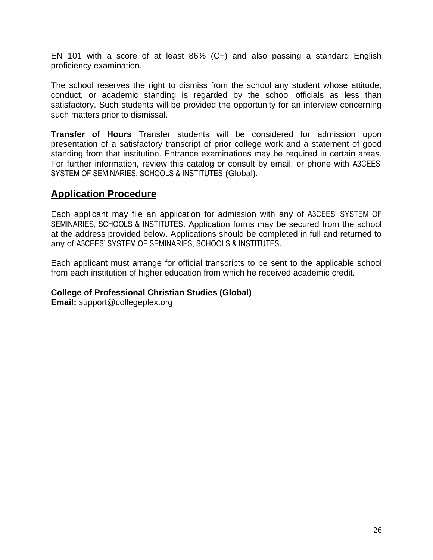EN 101 with a score of at least 86% (C+) and also passing a standard English proficiency examination.

The school reserves the right to dismiss from the school any student whose attitude, conduct, or academic standing is regarded by the school officials as less than satisfactory. Such students will be provided the opportunity for an interview concerning such matters prior to dismissal.

**Transfer of Hours** Transfer students will be considered for admission upon presentation of a satisfactory transcript of prior college work and a statement of good standing from that institution. Entrance examinations may be required in certain areas. For further information, review this catalog or consult by email, or phone with A3CEES' SYSTEM OF SEMINARIES, SCHOOLS & INSTITUTES (Global).

## <span id="page-25-0"></span>**Application Procedure**

Each applicant may file an application for admission with any of A3CEES' SYSTEM OF SEMINARIES, SCHOOLS & INSTITUTES. Application forms may be secured from the school at the address provided below. Applications should be completed in full and returned to any of A3CEES' SYSTEM OF SEMINARIES, SCHOOLS & INSTITUTES.

Each applicant must arrange for official transcripts to be sent to the applicable school from each institution of higher education from which he received academic credit.

**College of Professional Christian Studies (Global)**

**Email:** support@collegeplex.org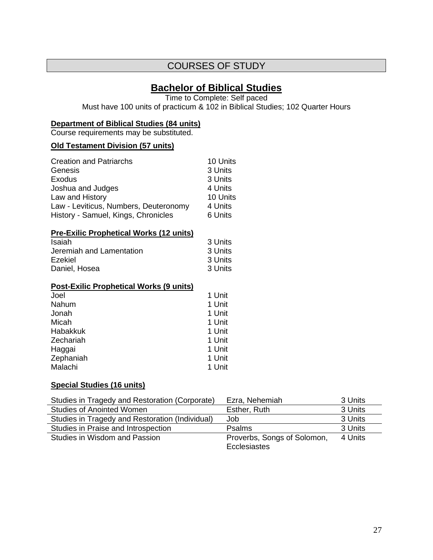## <span id="page-26-0"></span>COURSES OF STUDY

### **Bachelor of Biblical Studies**

Time to Complete: Self paced

Must have 100 units of practicum & 102 in Biblical Studies; 102 Quarter Hours

#### **Department of Biblical Studies (84 units)**

Course requirements may be substituted.

#### **Old Testament Division (57 units)**

| <b>Creation and Patriarchs</b>        | 10 Units |
|---------------------------------------|----------|
| Genesis                               | 3 Units  |
| Exodus                                | 3 Units  |
| Joshua and Judges                     | 4 Units  |
| Law and History                       | 10 Units |
| Law - Leviticus, Numbers, Deuteronomy | 4 Units  |
| History - Samuel, Kings, Chronicles   | 6 Units  |

#### **Pre-Exilic Prophetical Works (12 units)**

| 3 Units |
|---------|
| 3 Units |
| 3 Units |
| 3 Units |
|         |

#### **Post-Exilic Prophetical Works (9 units)**

| Joel      | 1 Unit |
|-----------|--------|
| Nahum     | 1 Unit |
| Jonah     | 1 Unit |
| Micah     | 1 Unit |
| Habakkuk  | 1 Unit |
| Zechariah | 1 Unit |
| Haggai    | 1 Unit |
| Zephaniah | 1 Unit |
| Malachi   | 1 Unit |

#### **Special Studies (16 units)**

| Studies in Tragedy and Restoration (Corporate)  | Ezra, Nehemiah                              | 3 Units |
|-------------------------------------------------|---------------------------------------------|---------|
| <b>Studies of Anointed Women</b>                | Esther, Ruth                                | 3 Units |
| Studies in Tragedy and Restoration (Individual) | Job                                         | 3 Units |
| Studies in Praise and Introspection             | <b>Psalms</b>                               | 3 Units |
| Studies in Wisdom and Passion                   | Proverbs, Songs of Solomon,<br>Ecclesiastes | 4 Units |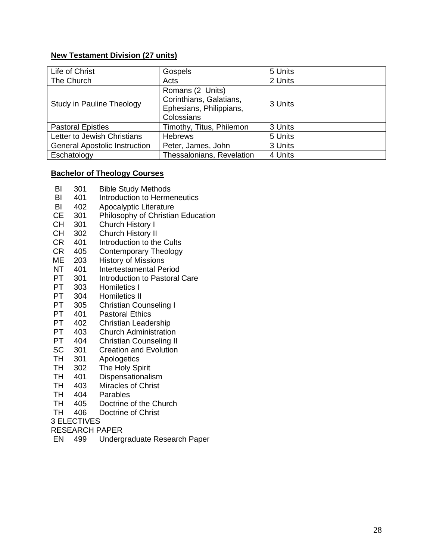#### **New Testament Division (27 units)**

| Life of Christ                       | Gospels                                                                              | 5 Units |
|--------------------------------------|--------------------------------------------------------------------------------------|---------|
| The Church                           | Acts                                                                                 | 2 Units |
| Study in Pauline Theology            | Romans (2 Units)<br>Corinthians, Galatians,<br>Ephesians, Philippians,<br>Colossians | 3 Units |
| <b>Pastoral Epistles</b>             | Timothy, Titus, Philemon                                                             | 3 Units |
| Letter to Jewish Christians          | <b>Hebrews</b>                                                                       | 5 Units |
| <b>General Apostolic Instruction</b> | Peter, James, John                                                                   | 3 Units |
| Eschatology                          | Thessalonians, Revelation                                                            | 4 Units |

#### <span id="page-27-0"></span>**Bachelor of Theology Courses**

- BI 301 Bible Study Methods
- BI 401 Introduction to Hermeneutics
- BI 402 Apocalyptic Literature
- CE 301 Philosophy of Christian Education
- CH 301 Church History I
- CH 302 Church History II<br>CR 401 Introduction to the
- 401 Introduction to the Cults
- CR 405 Contemporary Theology
- ME 203 History of Missions
- NT 401 Intertestamental Period
- PT 301 Introduction to Pastoral Care
- PT 303 Homiletics I
- PT 304 Homiletics II
- PT 305 Christian Counseling I<br>PT 401 Pastoral Ethics
- 401 Pastoral Ethics
- PT 402 Christian Leadership
- PT 403 Church Administration
- PT 404 Christian Counseling II
- SC 301 Creation and Evolution
- TH 301 Apologetics
- TH 302 The Holy Spirit
- TH 401 Dispensationalism<br>TH 403 Miracles of Christ
- 403 Miracles of Christ
- TH 404 Parables
- TH 405 Doctrine of the Church
- TH 406 Doctrine of Christ

3 ELECTIVES

- RESEARCH PAPER
- EN 499 Undergraduate Research Paper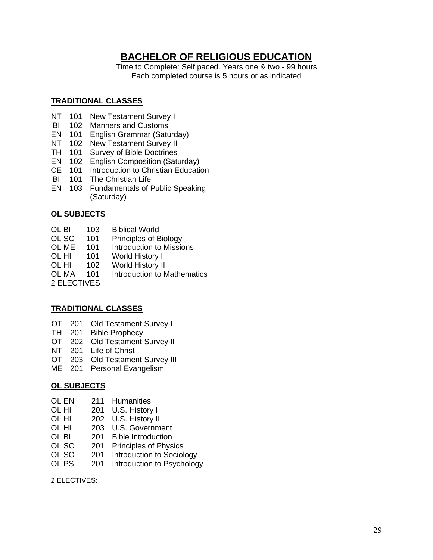## <span id="page-28-0"></span>**BACHELOR OF RELIGIOUS EDUCATION**

Time to Complete: Self paced. Years one & two - 99 hours Each completed course is 5 hours or as indicated

#### **TRADITIONAL CLASSES**

- NT 101 New Testament Survey I
- BI 102 Manners and Customs
- EN 101 English Grammar (Saturday)
- NT 102 New Testament Survey II
- TH 101 Survey of Bible Doctrines
- EN 102 English Composition (Saturday)
- CE 101 Introduction to Christian Education
- BI 101 The Christian Life
- EN 103 Fundamentals of Public Speaking (Saturday)

### **OL SUBJECTS**

- OL BI 103 Biblical World
- OL SC 101 Principles of Biology
- OL ME 101 Introduction to Missions
- OL HI 101 World History I<br>OL HI 102 World History II
- 102 World History II<br>101 Introduction to M
- OL MA 101 Introduction to Mathematics
- 2 ELECTIVES

#### **TRADITIONAL CLASSES**

- OT 201 Old Testament Survey I
- TH 201 Bible Prophecy
- OT 202 Old Testament Survey II
- NT 201 Life of Christ
- OT 203 Old Testament Survey III
- ME 201 Personal Evangelism

#### **OL SUBJECTS**

- OL EN 211 Humanities<br>OL HI 201 U.S. History
- 201 U.S. History I
- OL HI 202 U.S. History II
- OL HI 203 U.S. Government
- OL BI 201 Bible Introduction
- OL SC 201 Principles of Physics
- OL SO 201 Introduction to Sociology
- OL PS 201 Introduction to Psychology

2 ELECTIVES: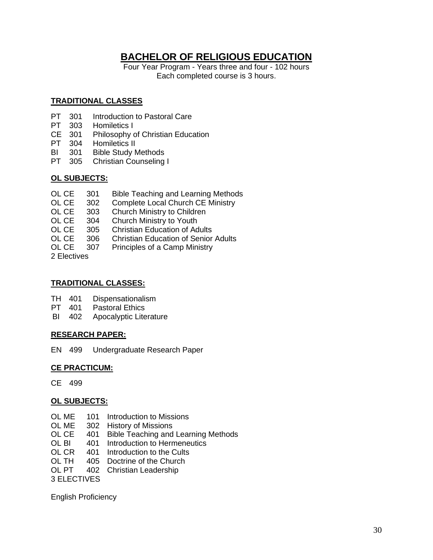# **BACHELOR OF RELIGIOUS EDUCATION**

Four Year Program - Years three and four - 102 hours Each completed course is 3 hours.

#### **TRADITIONAL CLASSES**

- PT 301 Introduction to Pastoral Care
- PT 303 Homiletics I<br>CE 301 Philosophy o
- Philosophy of Christian Education
- PT 304 Homiletics II
- BI 301 Bible Study Methods
- PT 305 Christian Counseling I

#### **OL SUBJECTS:**

| OL CE 301 | <b>Bible Teaching and Learning Methods</b> |
|-----------|--------------------------------------------|
|           |                                            |

- OL CE 302 Complete Local Church CE Ministry
- OL CE 303 Church Ministry to Children
- OL CE 304 Church Ministry to Youth
- OL CE 305 Christian Education of Adults
- OL CE 306 Christian Education of Senior Adults
- OL CE 307 Principles of a Camp Ministry

2 Electives

### **TRADITIONAL CLASSES:**

- TH 401 Dispensationalism<br>PT 401 Pastoral Ethics
- Pastoral Ethics
- BI 402 Apocalyptic Literature

#### **RESEARCH PAPER:**

EN 499 Undergraduate Research Paper

#### **CE PRACTICUM:**

CE 499

#### **OL SUBJECTS:**

- OL ME 101 Introduction to Missions<br>OL ME 302 History of Missions
- 302 History of Missions
- OL CE 401 Bible Teaching and Learning Methods<br>OL BI 401 Introduction to Hermeneutics
- 401 Introduction to Hermeneutics
- OL CR 401 Introduction to the Cults
- OL TH 405 Doctrine of the Church
- OL PT 402 Christian Leadership

3 ELECTIVES

English Proficiency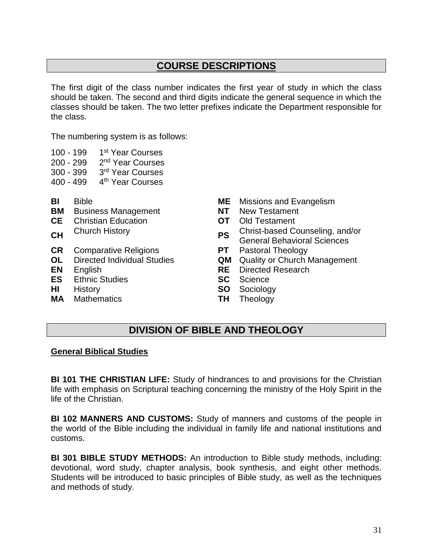# **COURSE DESCRIPTIONS**

<span id="page-30-0"></span>The first digit of the class number indicates the first year of study in which the class should be taken. The second and third digits indicate the general sequence in which the classes should be taken. The two letter prefixes indicate the Department responsible for the class.

The numbering system is as follows:

- 100 199 1 1<sup>st</sup> Year Courses
- $200 299$ 2<sup>nd</sup> Year Courses
- $300 399$ 3<sup>rd</sup> Year Courses
- 400 499 4 4<sup>th</sup> Year Courses
- 
- **BM** Business Management **NT** New Testament
- **CE** Christian Education **OT** Old Testament
- 
- **CR** Comparative Religions **PT** Pastoral Theology
- 
- 
- **ES** Ethnic Studies **SC** Science
- 
- **MA** Mathematics **TH** Theology
- **BI** Bible **ME** Missions and Evangelism
	-
	-
- **CH** Church History **PS** Christ-based Counseling, and/or General Behavioral Sciences
	-
- **OL** Directed Individual Studies **QM** Quality or Church Management
- **EN** English **RE** Directed Research
	-
- **HI** History **SO** Sociology
	-

### **DIVISION OF BIBLE AND THEOLOGY**

#### **General Biblical Studies**

**BI 101 THE CHRISTIAN LIFE:** Study of hindrances to and provisions for the Christian life with emphasis on Scriptural teaching concerning the ministry of the Holy Spirit in the life of the Christian.

**BI 102 MANNERS AND CUSTOMS:** Study of manners and customs of the people in the world of the Bible including the individual in family life and national institutions and customs.

**BI 301 BIBLE STUDY METHODS:** An introduction to Bible study methods, including: devotional, word study, chapter analysis, book synthesis, and eight other methods. Students will be introduced to basic principles of Bible study, as well as the techniques and methods of study.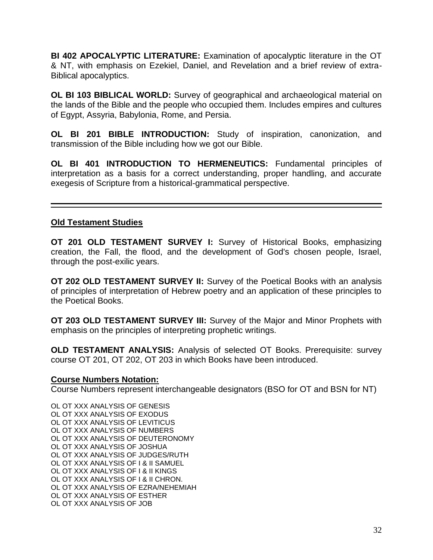**BI 402 APOCALYPTIC LITERATURE:** Examination of apocalyptic literature in the OT & NT, with emphasis on Ezekiel, Daniel, and Revelation and a brief review of extra-Biblical apocalyptics.

**OL BI 103 BIBLICAL WORLD:** Survey of geographical and archaeological material on the lands of the Bible and the people who occupied them. Includes empires and cultures of Egypt, Assyria, Babylonia, Rome, and Persia.

**OL BI 201 BIBLE INTRODUCTION:** Study of inspiration, canonization, and transmission of the Bible including how we got our Bible.

**OL BI 401 INTRODUCTION TO HERMENEUTICS:** Fundamental principles of interpretation as a basis for a correct understanding, proper handling, and accurate exegesis of Scripture from a historical-grammatical perspective.

### **Old Testament Studies**

**OT 201 OLD TESTAMENT SURVEY I:** Survey of Historical Books, emphasizing creation, the Fall, the flood, and the development of God's chosen people, Israel, through the post-exilic years.

**OT 202 OLD TESTAMENT SURVEY II:** Survey of the Poetical Books with an analysis of principles of interpretation of Hebrew poetry and an application of these principles to the Poetical Books.

**OT 203 OLD TESTAMENT SURVEY III:** Survey of the Major and Minor Prophets with emphasis on the principles of interpreting prophetic writings.

**OLD TESTAMENT ANALYSIS:** Analysis of selected OT Books. Prerequisite: survey course OT 201, OT 202, OT 203 in which Books have been introduced.

#### **Course Numbers Notation:**

Course Numbers represent interchangeable designators (BSO for OT and BSN for NT)

OL OT XXX ANALYSIS OF GENESIS OL OT XXX ANALYSIS OF EXODUS OL OT XXX ANALYSIS OF LEVITICUS OL OT XXX ANALYSIS OF NUMBERS OL OT XXX ANALYSIS OF DEUTERONOMY OL OT XXX ANALYSIS OF JOSHUA OL OT XXX ANALYSIS OF JUDGES/RUTH OL OT XXX ANALYSIS OF I & II SAMUEL OL OT XXX ANALYSIS OF I & II KINGS OL OT XXX ANALYSIS OF I & II CHRON. OL OT XXX ANALYSIS OF EZRA/NEHEMIAH OL OT XXX ANALYSIS OF ESTHER OL OT XXX ANALYSIS OF JOB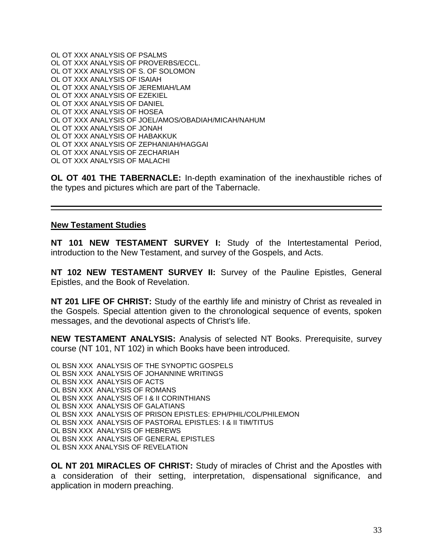OL OT XXX ANALYSIS OF PSALMS OL OT XXX ANALYSIS OF PROVERBS/ECCL. OL OT XXX ANALYSIS OF S. OF SOLOMON OL OT XXX ANALYSIS OF ISAIAH OL OT XXX ANALYSIS OF JEREMIAH/LAM OL OT XXX ANALYSIS OF EZEKIEL OL OT XXX ANALYSIS OF DANIEL OL OT XXX ANALYSIS OF HOSEA OL OT XXX ANALYSIS OF JOEL/AMOS/OBADIAH/MICAH/NAHUM OL OT XXX ANALYSIS OF JONAH OL OT XXX ANALYSIS OF HABAKKUK OL OT XXX ANALYSIS OF ZEPHANIAH/HAGGAI OL OT XXX ANALYSIS OF ZECHARIAH OL OT XXX ANALYSIS OF MALACHI

**OL OT 401 THE TABERNACLE:** In-depth examination of the inexhaustible riches of the types and pictures which are part of the Tabernacle.

#### **New Testament Studies**

**NT 101 NEW TESTAMENT SURVEY I:** Study of the Intertestamental Period, introduction to the New Testament, and survey of the Gospels, and Acts.

**NT 102 NEW TESTAMENT SURVEY II:** Survey of the Pauline Epistles, General Epistles, and the Book of Revelation.

**NT 201 LIFE OF CHRIST:** Study of the earthly life and ministry of Christ as revealed in the Gospels. Special attention given to the chronological sequence of events, spoken messages, and the devotional aspects of Christ's life.

**NEW TESTAMENT ANALYSIS:** Analysis of selected NT Books. Prerequisite, survey course (NT 101, NT 102) in which Books have been introduced.

OL BSN XXX ANALYSIS OF THE SYNOPTIC GOSPELS OL BSN XXX ANALYSIS OF JOHANNINE WRITINGS OL BSN XXX ANALYSIS OF ACTS OL BSN XXX ANALYSIS OF ROMANS OL BSN XXX ANALYSIS OF I & II CORINTHIANS OL BSN XXX ANALYSIS OF GALATIANS OL BSN XXX ANALYSIS OF PRISON EPISTLES: EPH/PHIL/COL/PHILEMON OL BSN XXX ANALYSIS OF PASTORAL EPISTLES: I & II TIM/TITUS OL BSN XXX ANALYSIS OF HEBREWS OL BSN XXX ANALYSIS OF GENERAL EPISTLES OL BSN XXX ANALYSIS OF REVELATION

**OL NT 201 MIRACLES OF CHRIST:** Study of miracles of Christ and the Apostles with a consideration of their setting, interpretation, dispensational significance, and application in modern preaching.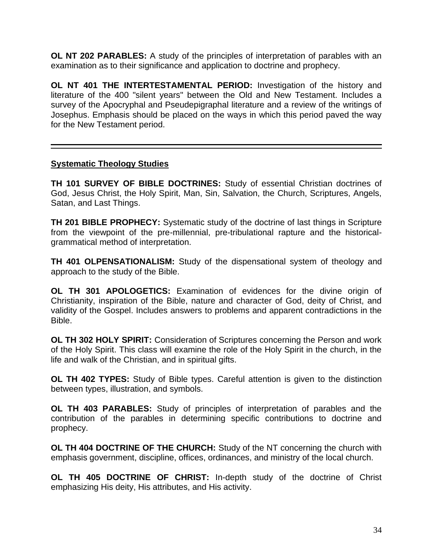**OL NT 202 PARABLES:** A study of the principles of interpretation of parables with an examination as to their significance and application to doctrine and prophecy.

**OL NT 401 THE INTERTESTAMENTAL PERIOD:** Investigation of the history and literature of the 400 "silent years" between the Old and New Testament. Includes a survey of the Apocryphal and Pseudepigraphal literature and a review of the writings of Josephus. Emphasis should be placed on the ways in which this period paved the way for the New Testament period.

### **Systematic Theology Studies**

**TH 101 SURVEY OF BIBLE DOCTRINES:** Study of essential Christian doctrines of God, Jesus Christ, the Holy Spirit, Man, Sin, Salvation, the Church, Scriptures, Angels, Satan, and Last Things.

**TH 201 BIBLE PROPHECY:** Systematic study of the doctrine of last things in Scripture from the viewpoint of the pre-millennial, pre-tribulational rapture and the historicalgrammatical method of interpretation.

**TH 401 OLPENSATIONALISM:** Study of the dispensational system of theology and approach to the study of the Bible.

**OL TH 301 APOLOGETICS:** Examination of evidences for the divine origin of Christianity, inspiration of the Bible, nature and character of God, deity of Christ, and validity of the Gospel. Includes answers to problems and apparent contradictions in the Bible.

**OL TH 302 HOLY SPIRIT:** Consideration of Scriptures concerning the Person and work of the Holy Spirit. This class will examine the role of the Holy Spirit in the church, in the life and walk of the Christian, and in spiritual gifts.

**OL TH 402 TYPES:** Study of Bible types. Careful attention is given to the distinction between types, illustration, and symbols.

**OL TH 403 PARABLES:** Study of principles of interpretation of parables and the contribution of the parables in determining specific contributions to doctrine and prophecy.

**OL TH 404 DOCTRINE OF THE CHURCH:** Study of the NT concerning the church with emphasis government, discipline, offices, ordinances, and ministry of the local church.

**OL TH 405 DOCTRINE OF CHRIST:** In-depth study of the doctrine of Christ emphasizing His deity, His attributes, and His activity.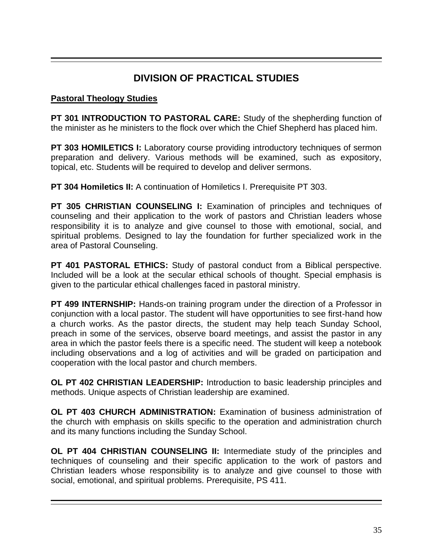# **DIVISION OF PRACTICAL STUDIES**

### **Pastoral Theology Studies**

**PT 301 INTRODUCTION TO PASTORAL CARE:** Study of the shepherding function of the minister as he ministers to the flock over which the Chief Shepherd has placed him.

**PT 303 HOMILETICS I:** Laboratory course providing introductory techniques of sermon preparation and delivery. Various methods will be examined, such as expository, topical, etc. Students will be required to develop and deliver sermons.

**PT 304 Homiletics II:** A continuation of Homiletics I. Prerequisite PT 303.

**PT 305 CHRISTIAN COUNSELING I:** Examination of principles and techniques of counseling and their application to the work of pastors and Christian leaders whose responsibility it is to analyze and give counsel to those with emotional, social, and spiritual problems. Designed to lay the foundation for further specialized work in the area of Pastoral Counseling.

**PT 401 PASTORAL ETHICS:** Study of pastoral conduct from a Biblical perspective. Included will be a look at the secular ethical schools of thought. Special emphasis is given to the particular ethical challenges faced in pastoral ministry.

**PT 499 INTERNSHIP:** Hands-on training program under the direction of a Professor in conjunction with a local pastor. The student will have opportunities to see first-hand how a church works. As the pastor directs, the student may help teach Sunday School, preach in some of the services, observe board meetings, and assist the pastor in any area in which the pastor feels there is a specific need. The student will keep a notebook including observations and a log of activities and will be graded on participation and cooperation with the local pastor and church members.

**OL PT 402 CHRISTIAN LEADERSHIP:** Introduction to basic leadership principles and methods. Unique aspects of Christian leadership are examined.

**OL PT 403 CHURCH ADMINISTRATION:** Examination of business administration of the church with emphasis on skills specific to the operation and administration church and its many functions including the Sunday School.

**OL PT 404 CHRISTIAN COUNSELING II:** Intermediate study of the principles and techniques of counseling and their specific application to the work of pastors and Christian leaders whose responsibility is to analyze and give counsel to those with social, emotional, and spiritual problems. Prerequisite, PS 411.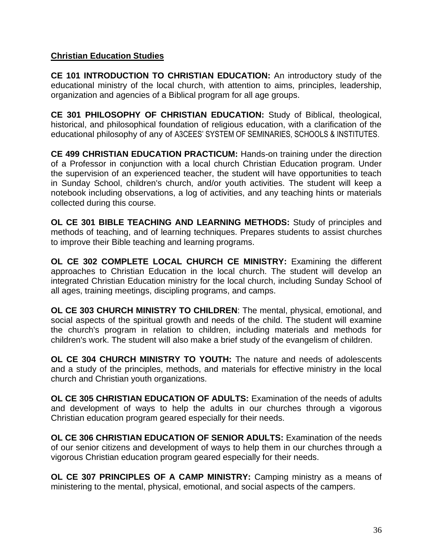### **Christian Education Studies**

**CE 101 INTRODUCTION TO CHRISTIAN EDUCATION:** An introductory study of the educational ministry of the local church, with attention to aims, principles, leadership, organization and agencies of a Biblical program for all age groups.

**CE 301 PHILOSOPHY OF CHRISTIAN EDUCATION:** Study of Biblical, theological, historical, and philosophical foundation of religious education, with a clarification of the educational philosophy of any of A3CEES' SYSTEM OF SEMINARIES, SCHOOLS & INSTITUTES.

**CE 499 CHRISTIAN EDUCATION PRACTICUM:** Hands-on training under the direction of a Professor in conjunction with a local church Christian Education program. Under the supervision of an experienced teacher, the student will have opportunities to teach in Sunday School, children's church, and/or youth activities. The student will keep a notebook including observations, a log of activities, and any teaching hints or materials collected during this course.

**OL CE 301 BIBLE TEACHING AND LEARNING METHODS:** Study of principles and methods of teaching, and of learning techniques. Prepares students to assist churches to improve their Bible teaching and learning programs.

**OL CE 302 COMPLETE LOCAL CHURCH CE MINISTRY:** Examining the different approaches to Christian Education in the local church. The student will develop an integrated Christian Education ministry for the local church, including Sunday School of all ages, training meetings, discipling programs, and camps.

**OL CE 303 CHURCH MINISTRY TO CHILDREN**: The mental, physical, emotional, and social aspects of the spiritual growth and needs of the child. The student will examine the church's program in relation to children, including materials and methods for children's work. The student will also make a brief study of the evangelism of children.

**OL CE 304 CHURCH MINISTRY TO YOUTH:** The nature and needs of adolescents and a study of the principles, methods, and materials for effective ministry in the local church and Christian youth organizations.

**OL CE 305 CHRISTIAN EDUCATION OF ADULTS:** Examination of the needs of adults and development of ways to help the adults in our churches through a vigorous Christian education program geared especially for their needs.

**OL CE 306 CHRISTIAN EDUCATION OF SENIOR ADULTS:** Examination of the needs of our senior citizens and development of ways to help them in our churches through a vigorous Christian education program geared especially for their needs.

**OL CE 307 PRINCIPLES OF A CAMP MINISTRY:** Camping ministry as a means of ministering to the mental, physical, emotional, and social aspects of the campers.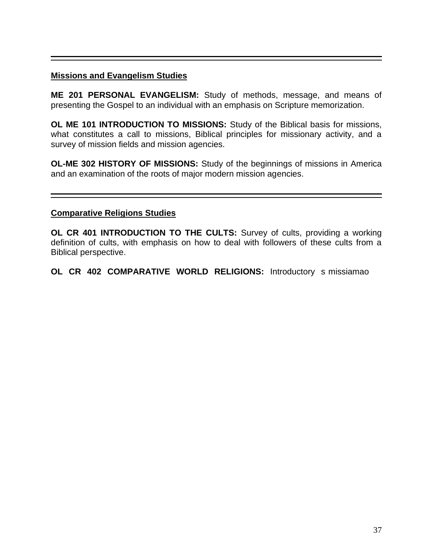### **Missions and Evangelism Studies**

**ME 201 PERSONAL EVANGELISM:** Study of methods, message, and means of presenting the Gospel to an individual with an emphasis on Scripture memorization.

**OL ME 101 INTRODUCTION TO MISSIONS:** Study of the Biblical basis for missions, what constitutes a call to missions, Biblical principles for missionary activity, and a survey of mission fields and mission agencies.

**OL-ME 302 HISTORY OF MISSIONS:** Study of the beginnings of missions in America and an examination of the roots of major modern mission agencies.

#### **Comparative Religions Studies**

**OL CR 401 INTRODUCTION TO THE CULTS:** Survey of cults, providing a working definition of cults, with emphasis on how to deal with followers of these cults from a Biblical perspective.

**OL CR 402 COMPARATIVE WORLD RELIGIONS:** Introductory s missiamao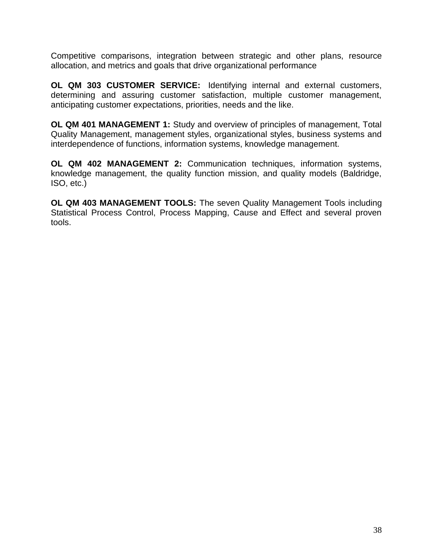Competitive comparisons, integration between strategic and other plans, resource allocation, and metrics and goals that drive organizational performance

**OL QM 303 CUSTOMER SERVICE:** Identifying internal and external customers, determining and assuring customer satisfaction, multiple customer management, anticipating customer expectations, priorities, needs and the like.

**OL QM 401 MANAGEMENT 1:** Study and overview of principles of management, Total Quality Management, management styles, organizational styles, business systems and interdependence of functions, information systems, knowledge management.

**OL QM 402 MANAGEMENT 2:** Communication techniques, information systems, knowledge management, the quality function mission, and quality models (Baldridge, ISO, etc.)

**OL QM 403 MANAGEMENT TOOLS:** The seven Quality Management Tools including Statistical Process Control, Process Mapping, Cause and Effect and several proven tools.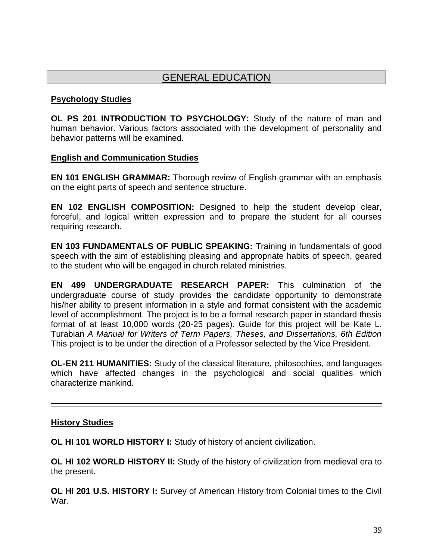## GENERAL EDUCATION

### **Psychology Studies**

**OL PS 201 INTRODUCTION TO PSYCHOLOGY:** Study of the nature of man and human behavior. Various factors associated with the development of personality and behavior patterns will be examined.

### **English and Communication Studies**

**EN 101 ENGLISH GRAMMAR:** Thorough review of English grammar with an emphasis on the eight parts of speech and sentence structure.

**EN 102 ENGLISH COMPOSITION:** Designed to help the student develop clear, forceful, and logical written expression and to prepare the student for all courses requiring research.

**EN 103 FUNDAMENTALS OF PUBLIC SPEAKING:** Training in fundamentals of good speech with the aim of establishing pleasing and appropriate habits of speech, geared to the student who will be engaged in church related ministries.

**EN 499 UNDERGRADUATE RESEARCH PAPER:** This culmination of the undergraduate course of study provides the candidate opportunity to demonstrate his/her ability to present information in a style and format consistent with the academic level of accomplishment. The project is to be a formal research paper in standard thesis format of at least 10,000 words (20-25 pages). Guide for this project will be Kate L. Turabian *A Manual for Writers of Term Papers, Theses, and Dissertations, 6th Edition* This project is to be under the direction of a Professor selected by the Vice President.

**OL-EN 211 HUMANITIES:** Study of the classical literature, philosophies, and languages which have affected changes in the psychological and social qualities which characterize mankind.

### **History Studies**

**OL HI 101 WORLD HISTORY I:** Study of history of ancient civilization.

**OL HI 102 WORLD HISTORY II:** Study of the history of civilization from medieval era to the present.

**OL HI 201 U.S. HISTORY I:** Survey of American History from Colonial times to the Civil War.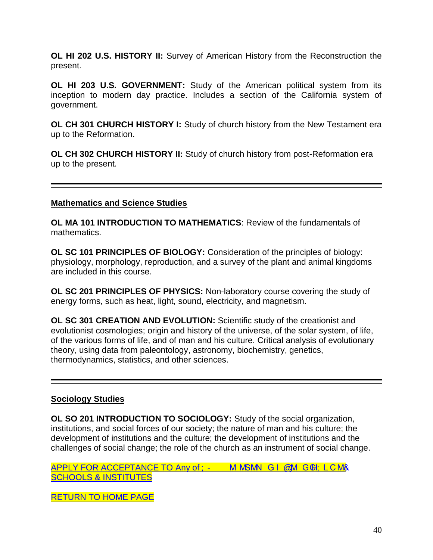**OL HI 202 U.S. HISTORY II:** Survey of American History from the Reconstruction the present.

**OL HI 203 U.S. GOVERNMENT:** Study of the American political system from its inception to modern day practice. Includes a section of the California system of government.

**OL CH 301 CHURCH HISTORY I:** Study of church history from the New Testament era up to the Reformation.

**OL CH 302 CHURCH HISTORY II:** Study of church history from post-Reformation era up to the present.

### **Mathematics and Science Studies**

**OL MA 101 INTRODUCTION TO MATHEMATICS**: Review of the fundamentals of mathematics.

**OL SC 101 PRINCIPLES OF BIOLOGY:** Consideration of the principles of biology: physiology, morphology, reproduction, and a survey of the plant and animal kingdoms are included in this course.

**OL SC 201 PRINCIPLES OF PHYSICS:** Non-laboratory course covering the study of energy forms, such as heat, light, sound, electricity, and magnetism.

**OL SC 301 CREATION AND EVOLUTION:** Scientific study of the creationist and evolutionist cosmologies; origin and history of the universe, of the solar system, of life, of the various forms of life, and of man and his culture. Critical analysis of evolutionary theory, using data from paleontology, astronomy, biochemistry, genetics, thermodynamics, statistics, and other sciences.

### **Sociology Studies**

**OL SO 201 INTRODUCTION TO SOCIOLOGY:** Study of the social organization, institutions, and social forces of our society; the nature of man and his culture; the development of institutions and the culture; the development of institutions and the challenges of social change; the role of the church as an instrument of social change.

APPLY FOR ACCEPTANCE TO Any of: - M MSMN GI @M GCH: LCM& [SCHOOLS & INSTITUTES](http://collegeplex.org/http/members.aol.com/cpcsincal/cpcsapp.htm)

[RETURN TO HOME PAGE](http://collegeplex.org/AIIintro.htm)